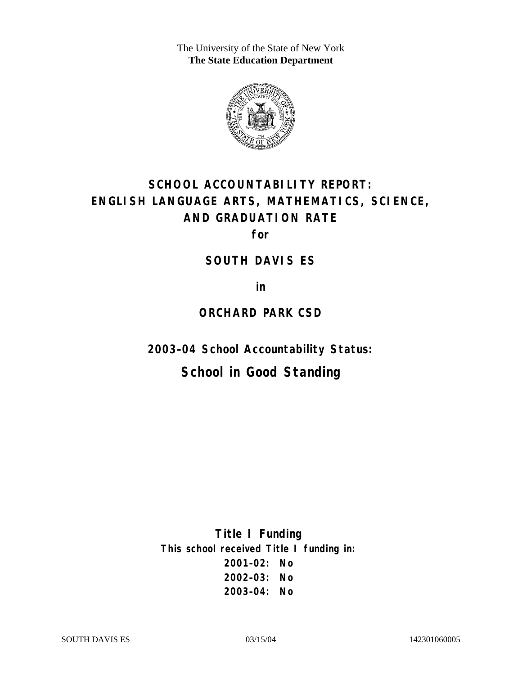The University of the State of New York **The State Education Department** 



# **SCHOOL ACCOUNTABILITY REPORT: ENGLISH LANGUAGE ARTS, MATHEMATICS, SCIENCE, AND GRADUATION RATE**

**for** 

### **SOUTH DAVIS ES**

**in** 

### **ORCHARD PARK CSD**

**2003–04 School Accountability Status:** 

## **School in Good Standing**

**Title I Funding This school received Title I funding in: 2001–02: No 2002–03: No 2003–04: No**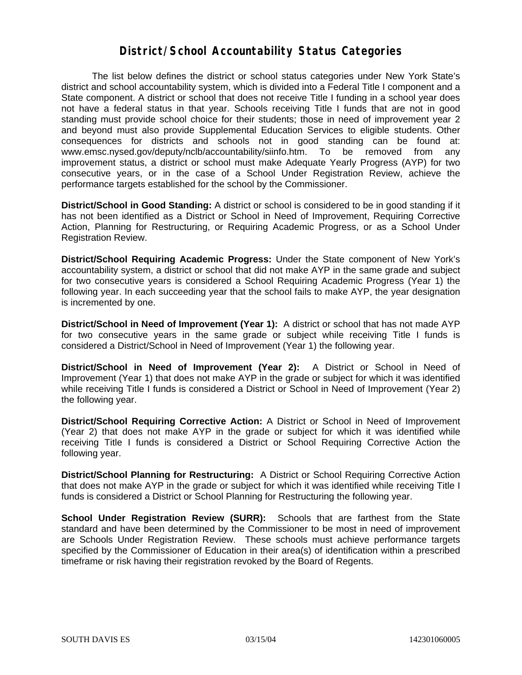### **District/School Accountability Status Categories**

The list below defines the district or school status categories under New York State's district and school accountability system, which is divided into a Federal Title I component and a State component. A district or school that does not receive Title I funding in a school year does not have a federal status in that year. Schools receiving Title I funds that are not in good standing must provide school choice for their students; those in need of improvement year 2 and beyond must also provide Supplemental Education Services to eligible students. Other consequences for districts and schools not in good standing can be found at: www.emsc.nysed.gov/deputy/nclb/accountability/siinfo.htm. To be removed from any improvement status, a district or school must make Adequate Yearly Progress (AYP) for two consecutive years, or in the case of a School Under Registration Review, achieve the performance targets established for the school by the Commissioner.

**District/School in Good Standing:** A district or school is considered to be in good standing if it has not been identified as a District or School in Need of Improvement, Requiring Corrective Action, Planning for Restructuring, or Requiring Academic Progress, or as a School Under Registration Review.

**District/School Requiring Academic Progress:** Under the State component of New York's accountability system, a district or school that did not make AYP in the same grade and subject for two consecutive years is considered a School Requiring Academic Progress (Year 1) the following year. In each succeeding year that the school fails to make AYP, the year designation is incremented by one.

**District/School in Need of Improvement (Year 1):** A district or school that has not made AYP for two consecutive years in the same grade or subject while receiving Title I funds is considered a District/School in Need of Improvement (Year 1) the following year.

**District/School in Need of Improvement (Year 2):** A District or School in Need of Improvement (Year 1) that does not make AYP in the grade or subject for which it was identified while receiving Title I funds is considered a District or School in Need of Improvement (Year 2) the following year.

**District/School Requiring Corrective Action:** A District or School in Need of Improvement (Year 2) that does not make AYP in the grade or subject for which it was identified while receiving Title I funds is considered a District or School Requiring Corrective Action the following year.

**District/School Planning for Restructuring:** A District or School Requiring Corrective Action that does not make AYP in the grade or subject for which it was identified while receiving Title I funds is considered a District or School Planning for Restructuring the following year.

**School Under Registration Review (SURR):** Schools that are farthest from the State standard and have been determined by the Commissioner to be most in need of improvement are Schools Under Registration Review. These schools must achieve performance targets specified by the Commissioner of Education in their area(s) of identification within a prescribed timeframe or risk having their registration revoked by the Board of Regents.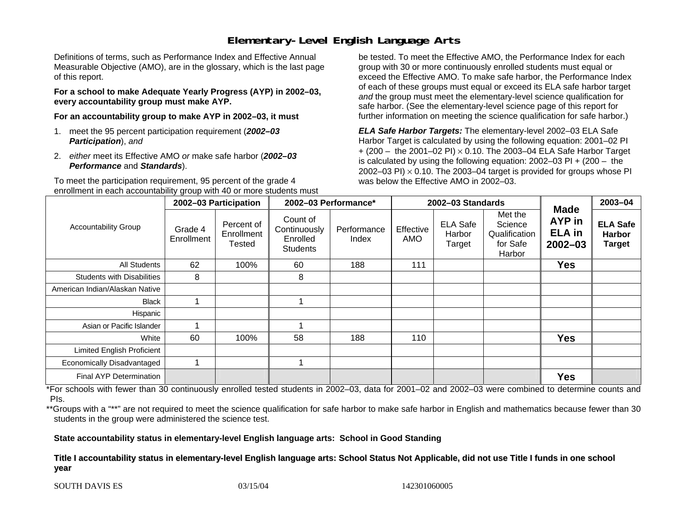## **Elementary-Level English Language Arts**

Definitions of terms, such as Performance Index and Effective Annual Measurable Objective (AMO), are in the glossary, which is the last page of this report.

**For a school to make Adequate Yearly Progress (AYP) in 2002–03, every accountability group must make AYP.** 

**For an accountability group to make AYP in 2002–03, it must** 

- 1. meet the 95 percent participation requirement (*2002–03 Participation*), *and*
- 2. *either* meet its Effective AMO *or* make safe harbor (*2002–03 Performance* and *Standards*).

To meet the participation requirement, 95 percent of the grade 4 enrollment in each accountability group with 40 or more students must

be tested. To meet the Effective AMO, the Performance Index for each group with 30 or more continuously enrolled students must equal or exceed the Effective AMO. To make safe harbor, the Performance Index of each of these groups must equal or exceed its ELA safe harbor target *and* the group must meet the elementary-level science qualification for safe harbor. (See the elementary-level science page of this report for further information on meeting the science qualification for safe harbor.)

*ELA Safe Harbor Targets:* The elementary-level 2002–03 ELA Safe Harbor Target is calculated by using the following equation: 2001–02 PI + (200 – the 2001–02 PI) <sup>×</sup> 0.10. The 2003–04 ELA Safe Harbor Target is calculated by using the following equation: 2002–03 PI + (200 – the 2002–03 PI)  $\times$  0.10. The 2003–04 target is provided for groups whose PI was below the Effective AMO in 2002–03.

| <b>Accountability Group</b>       | 2002-03 Participation |                                    | 2002-03 Performance*                                    |                      | 2002-03 Standards |                                     |                                                           |                                                              | 2003-04                                           |
|-----------------------------------|-----------------------|------------------------------------|---------------------------------------------------------|----------------------|-------------------|-------------------------------------|-----------------------------------------------------------|--------------------------------------------------------------|---------------------------------------------------|
|                                   | Grade 4<br>Enrollment | Percent of<br>Enrollment<br>Tested | Count of<br>Continuously<br>Enrolled<br><b>Students</b> | Performance<br>Index | Effective<br>AMO  | <b>ELA Safe</b><br>Harbor<br>Target | Met the<br>Science<br>Qualification<br>for Safe<br>Harbor | <b>Made</b><br><b>AYP</b> in<br><b>ELA</b> in<br>$2002 - 03$ | <b>ELA Safe</b><br><b>Harbor</b><br><b>Target</b> |
| All Students                      | 62                    | 100%                               | 60                                                      | 188                  | 111               |                                     |                                                           | <b>Yes</b>                                                   |                                                   |
| <b>Students with Disabilities</b> | 8                     |                                    | 8                                                       |                      |                   |                                     |                                                           |                                                              |                                                   |
| American Indian/Alaskan Native    |                       |                                    |                                                         |                      |                   |                                     |                                                           |                                                              |                                                   |
| <b>Black</b>                      |                       |                                    |                                                         |                      |                   |                                     |                                                           |                                                              |                                                   |
| Hispanic                          |                       |                                    |                                                         |                      |                   |                                     |                                                           |                                                              |                                                   |
| Asian or Pacific Islander         |                       |                                    |                                                         |                      |                   |                                     |                                                           |                                                              |                                                   |
| White                             | 60                    | 100%                               | 58                                                      | 188                  | 110               |                                     |                                                           | <b>Yes</b>                                                   |                                                   |
| <b>Limited English Proficient</b> |                       |                                    |                                                         |                      |                   |                                     |                                                           |                                                              |                                                   |
| Economically Disadvantaged        |                       |                                    |                                                         |                      |                   |                                     |                                                           |                                                              |                                                   |
| <b>Final AYP Determination</b>    |                       |                                    |                                                         |                      |                   |                                     |                                                           | <b>Yes</b>                                                   |                                                   |

\*For schools with fewer than 30 continuously enrolled tested students in 2002–03, data for 2001–02 and 2002–03 were combined to determine counts and PIs.

\*\*Groups with a "\*\*" are not required to meet the science qualification for safe harbor to make safe harbor in English and mathematics because fewer than 30 students in the group were administered the science test.

**State accountability status in elementary-level English language arts: School in Good Standing** 

Title I accountability status in elementary-level English language arts: School Status Not Applicable, did not use Title I funds in one school **y e ar**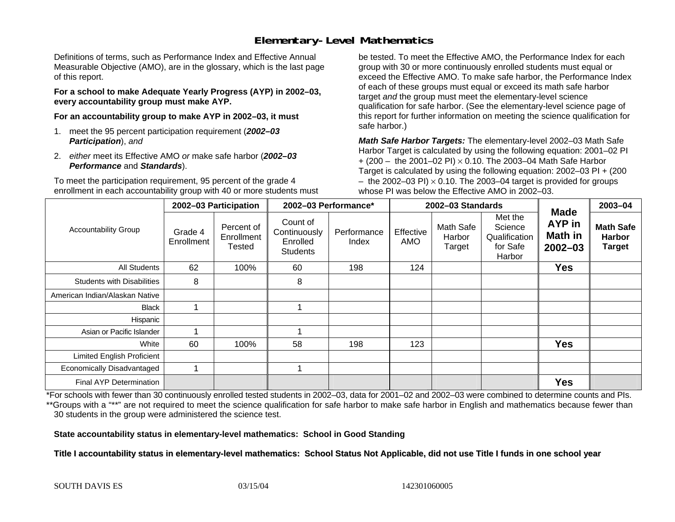## **Elementary-Level Mathematics**

Definitions of terms, such as Performance Index and Effective Annual Measurable Objective (AMO), are in the glossary, which is the last page of this report.

**For a school to make Adequate Yearly Progress (AYP) in 2002–03, every accountability group must make AYP.** 

**For an accountability group to make AYP in 2002–03, it must** 

- 1. meet the 95 percent participation requirement (*2002–03 Participation*), *and*
- 2. *either* meet its Effective AMO *or* make safe harbor (*2002–03 Performance* and *Standards*).

To meet the participation requirement, 95 percent of the grade 4 enrollment in each accountability group with 40 or more students must

be tested. To meet the Effective AMO, the Performance Index for each group with 30 or more continuously enrolled students must equal or exceed the Effective AMO. To make safe harbor, the Performance Index of each of these groups must equal or exceed its math safe harbor target *and* the group must meet the elementary-level science qualification for safe harbor. (See the elementary-level science page of this report for further information on meeting the science qualification for safe harbor.)

*Math Safe Harbor Targets:* The elementary-level 2002–03 Math Safe Harbor Target is calculated by using the following equation: 2001–02 PI + (200 – the 2001–02 PI) × 0.10. The 2003–04 Math Safe Harbor Target is calculated by using the following equation: 2002–03 PI + (200  $-$  the 2002–03 PI)  $\times$  0.10. The 2003–04 target is provided for groups whose PI was below the Effective AMO in 2002–03.

| <b>Accountability Group</b>       | 2002-03 Participation |                                    | 2002-03 Performance*                                    |                      | 2002-03 Standards |                               |                                                           |                                                               | 2003-04                                            |
|-----------------------------------|-----------------------|------------------------------------|---------------------------------------------------------|----------------------|-------------------|-------------------------------|-----------------------------------------------------------|---------------------------------------------------------------|----------------------------------------------------|
|                                   | Grade 4<br>Enrollment | Percent of<br>Enrollment<br>Tested | Count of<br>Continuously<br>Enrolled<br><b>Students</b> | Performance<br>Index | Effective<br>AMO  | Math Safe<br>Harbor<br>Target | Met the<br>Science<br>Qualification<br>for Safe<br>Harbor | <b>Made</b><br><b>AYP</b> in<br><b>Math in</b><br>$2002 - 03$ | <b>Math Safe</b><br><b>Harbor</b><br><b>Target</b> |
| All Students                      | 62                    | 100%                               | 60                                                      | 198                  | 124               |                               |                                                           | <b>Yes</b>                                                    |                                                    |
| <b>Students with Disabilities</b> | 8                     |                                    | 8                                                       |                      |                   |                               |                                                           |                                                               |                                                    |
| American Indian/Alaskan Native    |                       |                                    |                                                         |                      |                   |                               |                                                           |                                                               |                                                    |
| <b>Black</b>                      |                       |                                    |                                                         |                      |                   |                               |                                                           |                                                               |                                                    |
| Hispanic                          |                       |                                    |                                                         |                      |                   |                               |                                                           |                                                               |                                                    |
| Asian or Pacific Islander         |                       |                                    |                                                         |                      |                   |                               |                                                           |                                                               |                                                    |
| White                             | 60                    | 100%                               | 58                                                      | 198                  | 123               |                               |                                                           | <b>Yes</b>                                                    |                                                    |
| <b>Limited English Proficient</b> |                       |                                    |                                                         |                      |                   |                               |                                                           |                                                               |                                                    |
| Economically Disadvantaged        |                       |                                    |                                                         |                      |                   |                               |                                                           |                                                               |                                                    |
| <b>Final AYP Determination</b>    |                       |                                    |                                                         |                      |                   |                               |                                                           | <b>Yes</b>                                                    |                                                    |

\*For schools with fewer than 30 continuously enrolled tested students in 2002–03, data for 2001–02 and 2002–03 were combined to determine counts and PIs. \*\*Groups with a "\*\*" are not required to meet the science qualification for safe harbor to make safe harbor in English and mathematics because fewer than 30 students in the group were administered the science test.

**State accountability status in elementary-level mathematics: School in Good Standing** 

Title I accountability status in elementary-level mathematics: School Status Not Applicable, did not use Title I funds in one school year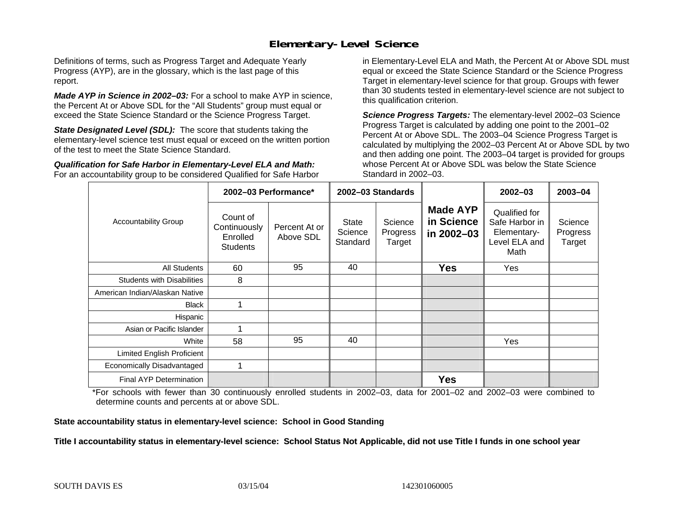## **Elementary-Level Science**

Definitions of terms, such as Progress Target and Adequate Yearly Progress (AYP), are in the glossary, which is the last page of this report.

*Made AYP in Science in 2002–03:* For a school to make AYP in science, the Percent At or Above SDL for the "All Students" group must equal or exceed the State Science Standard or the Science Progress Target.

**State Designated Level (SDL):** The score that students taking the elementary-level science test must equal or exceed on the written portion of the test to meet the State Science Standard.

*Qualification for Safe Harbor in Elementary-Level ELA and Math:* For an accountability group to be considered Qualified for Safe Harbor in Elementary-Level ELA and Math, the Percent At or Above SDL must equal or exceed the State Science Standard or the Science Progress Target in elementary-level science for that group. Groups with fewer than 30 students tested in elementary-level science are not subject to this qualification criterion.

*Science Progress Targets:* The elementary-level 2002–03 Science Progress Target is calculated by adding one point to the 2001–02 Percent At or Above SDL. The 2003–04 Science Progress Target is calculated by multiplying the 2002–03 Percent At or Above SDL by two and then adding one point. The 2003–04 target is provided for groups whose Percent At or Above SDL was below the State Science Standard in 2002–03.

|                                   |                                                         | 2002-03 Performance*       | 2002-03 Standards                   |                               |                                             | $2002 - 03$                                                             | $2003 - 04$                   |
|-----------------------------------|---------------------------------------------------------|----------------------------|-------------------------------------|-------------------------------|---------------------------------------------|-------------------------------------------------------------------------|-------------------------------|
| <b>Accountability Group</b>       | Count of<br>Continuously<br>Enrolled<br><b>Students</b> | Percent At or<br>Above SDL | <b>State</b><br>Science<br>Standard | Science<br>Progress<br>Target | <b>Made AYP</b><br>in Science<br>in 2002-03 | Qualified for<br>Safe Harbor in<br>Elementary-<br>Level ELA and<br>Math | Science<br>Progress<br>Target |
| All Students                      | 60                                                      | 95                         | 40                                  |                               | <b>Yes</b>                                  | Yes                                                                     |                               |
| <b>Students with Disabilities</b> | 8                                                       |                            |                                     |                               |                                             |                                                                         |                               |
| American Indian/Alaskan Native    |                                                         |                            |                                     |                               |                                             |                                                                         |                               |
| <b>Black</b>                      |                                                         |                            |                                     |                               |                                             |                                                                         |                               |
| Hispanic                          |                                                         |                            |                                     |                               |                                             |                                                                         |                               |
| Asian or Pacific Islander         |                                                         |                            |                                     |                               |                                             |                                                                         |                               |
| White                             | 58                                                      | 95                         | 40                                  |                               |                                             | <b>Yes</b>                                                              |                               |
| Limited English Proficient        |                                                         |                            |                                     |                               |                                             |                                                                         |                               |
| Economically Disadvantaged        |                                                         |                            |                                     |                               |                                             |                                                                         |                               |
| Final AYP Determination           |                                                         |                            |                                     |                               | <b>Yes</b>                                  |                                                                         |                               |

\*For schools with fewer than 30 continuously enrolled students in 2002–03, data for 2001–02 and 2002–03 were combined to determine counts and percents at or above SDL.

**State accountability status in elementary-level science: School in Good Standing** 

Title I accountability status in elementary-level science: School Status Not Applicable, did not use Title I funds in one school year